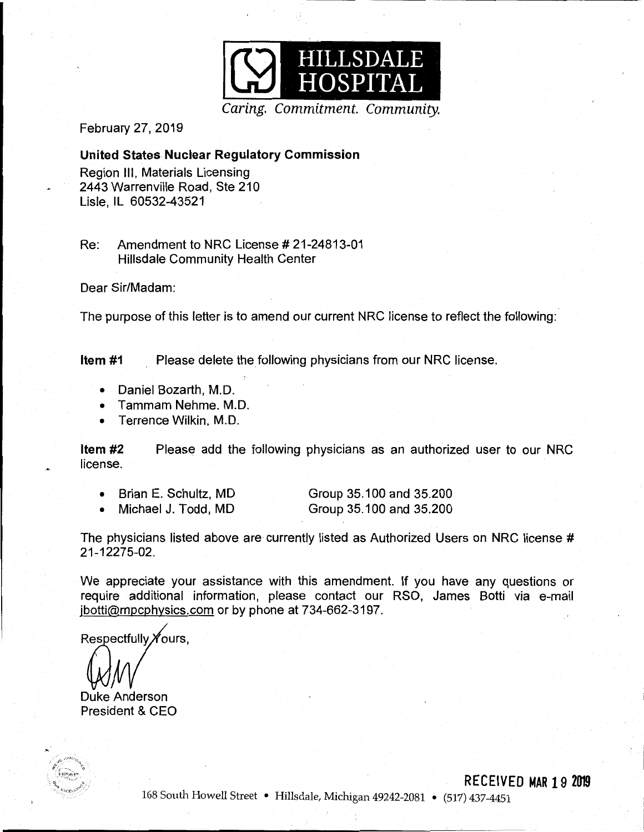

February 27, 2019

**United States Nuclear Regulatory Commission** 

Region Ill, Materials Licensing 2443 Warrenville Road, Ste 210 Lisle, IL 60532-43521

Re: Amendment to NRG License# 21-24813-01 Hillsdale Community Health Center

Dear Sir/Madam:

The purpose of this letter is to amend our current NRG license to reflect the following:

**Item #1** Please delete the following physicians from our NRC license.

- Daniel Bozarth, M.D.
- Tammam Nehme. M.D.
- Terrence Wilkin, M.D.

**Item #2**  license. Please add the following physicians as an authorized user to our NRG

| • Brian E. Schultz, MD | Group 35.100 and 35.200 |
|------------------------|-------------------------|
| • Michael J. Todd, MD  | Group 35.100 and 35.200 |

The physicians listed above are currently listed as Authorized Users on NRG license # 21-12275-02.

We appreciate your assistance with this amendment. If you have any questions or require additional information, please contact our RSO, James Botti via e-mail jbotti@mpcphysics.com or by phone at 734-662-3197.

Respectfully **Yours**,

Duke Anderson President & CEO



168 South Howell Street • Hillsdale, Michigan 49242-2081 • (517) 437-4451

**RECEIVED MAR 19 2019**